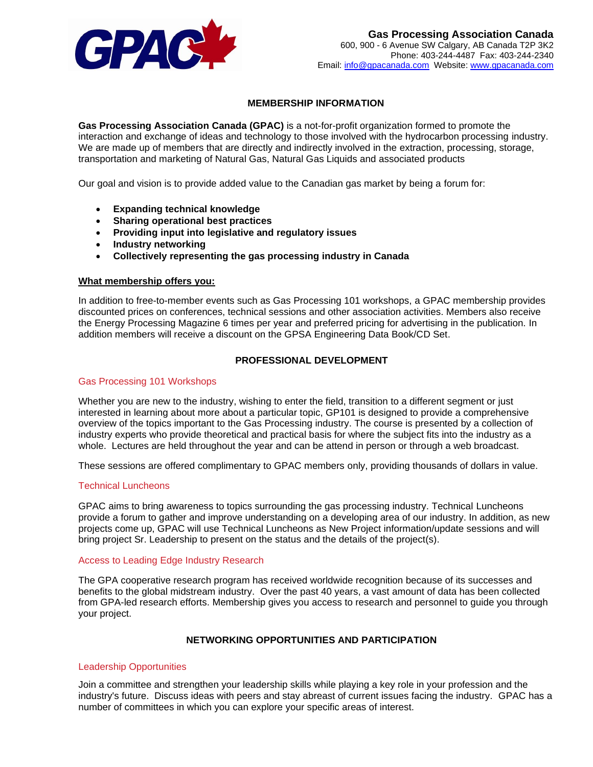

## **MEMBERSHIP INFORMATION**

**Gas Processing Association Canada (GPAC)** is a not-for-profit organization formed to promote the interaction and exchange of ideas and technology to those involved with the hydrocarbon processing industry. We are made up of members that are directly and indirectly involved in the extraction, processing, storage, transportation and marketing of Natural Gas, Natural Gas Liquids and associated products

Our goal and vision is to provide added value to the Canadian gas market by being a forum for:

- **Expanding technical knowledge**
- **Sharing operational best practices**
- **Providing input into legislative and regulatory issues**
- **Industry networking**
- **Collectively representing the gas processing industry in Canada**

### **What membership offers you:**

In addition to free-to-member events such as Gas Processing 101 workshops, a GPAC membership provides discounted prices on conferences, technical sessions and other association activities. Members also receive the Energy Processing Magazine 6 times per year and preferred pricing for advertising in the publication. In addition members will receive a discount on the [GPSA Engineering Data Book/CD Set.](https://securegs.com/gpac/)

## **PROFESSIONAL DEVELOPMENT**

#### Gas Processing 101 Workshops

Whether you are new to the industry, wishing to enter the field, transition to a different segment or just interested in learning about more about a particular topic, GP101 is designed to provide a comprehensive overview of the topics important to the Gas Processing industry. The course is presented by a collection of industry experts who provide theoretical and practical basis for where the subject fits into the industry as a whole. Lectures are held throughout the year and can be attend in person or through a web broadcast.

These sessions are offered complimentary to GPAC members only, providing thousands of dollars in value.

### Technical Luncheons

GPAC aims to bring awareness to topics surrounding the gas processing industry. Technical Luncheons provide a forum to gather and improve understanding on a developing area of our industry. In addition, as new projects come up, GPAC will use Technical Luncheons as New Project information/update sessions and will bring project Sr. Leadership to present on the status and the details of the project(s).

#### Access to Leading Edge Industry Research

The GPA cooperative research program has received worldwide recognition because of its successes and benefits to the global midstream industry. Over the past 40 years, a vast amount of data has been collected from GPA-led research efforts. Membership gives you access to research and personnel to guide you through your project.

## **NETWORKING OPPORTUNITIES AND PARTICIPATION**

### Leadership Opportunities

Join a committee and strengthen your leadership skills while playing a key role in your profession and the industry's future. Discuss ideas with peers and stay abreast of current issues facing the industry. GPAC has a number of committees in which you can explore your specific areas of interest.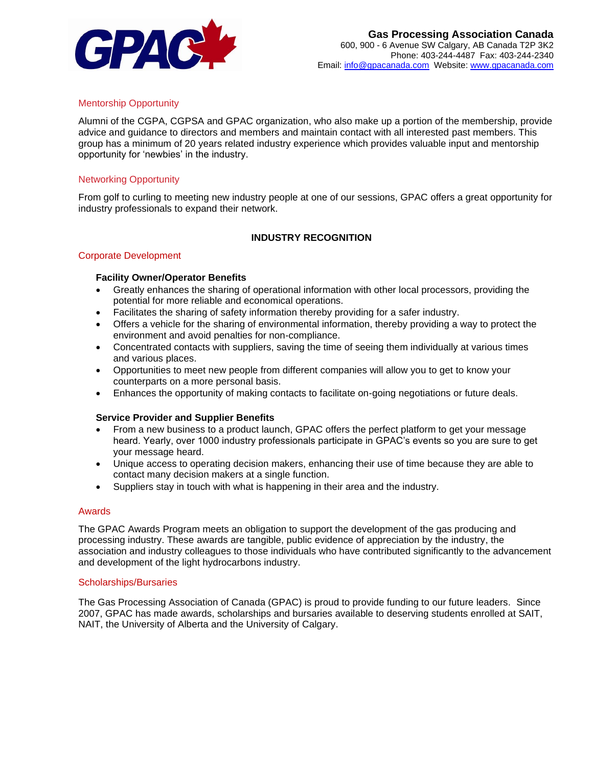

## Mentorship Opportunity

Alumni of the CGPA, CGPSA and GPAC organization, who also make up a portion of the membership, provide advice and guidance to directors and members and maintain contact with all interested past members. This group has a minimum of 20 years related industry experience which provides valuable input and mentorship opportunity for 'newbies' in the industry.

### Networking Opportunity

From golf to curling to meeting new industry people at one of our sessions, GPAC offers a great opportunity for industry professionals to expand their network.

## **INDUSTRY RECOGNITION**

### Corporate Development

## **Facility Owner/Operator Benefits**

- Greatly enhances the sharing of operational information with other local processors, providing the potential for more reliable and economical operations.
- Facilitates the sharing of safety information thereby providing for a safer industry.
- Offers a vehicle for the sharing of environmental information, thereby providing a way to protect the environment and avoid penalties for non-compliance.
- Concentrated contacts with suppliers, saving the time of seeing them individually at various times and various places.
- Opportunities to meet new people from different companies will allow you to get to know your counterparts on a more personal basis.
- Enhances the opportunity of making contacts to facilitate on-going negotiations or future deals.

### **Service Provider and Supplier Benefits**

- From a new business to a product launch, GPAC offers the perfect platform to get your message heard. Yearly, over 1000 industry professionals participate in GPAC's events so you are sure to get your message heard.
- Unique access to operating decision makers, enhancing their use of time because they are able to contact many decision makers at a single function.
- Suppliers stay in touch with what is happening in their area and the industry.

#### Awards

The GPAC Awards Program meets an obligation to support the development of the gas producing and processing industry. These awards are tangible, public evidence of appreciation by the industry, the association and industry colleagues to those individuals who have contributed significantly to the advancement and development of the light hydrocarbons industry.

#### Scholarships/Bursaries

The Gas Processing Association of Canada (GPAC) is proud to provide funding to our future leaders. Since 2007, GPAC has made awards, scholarships and bursaries available to deserving students enrolled at SAIT, NAIT, the University of Alberta and the University of Calgary.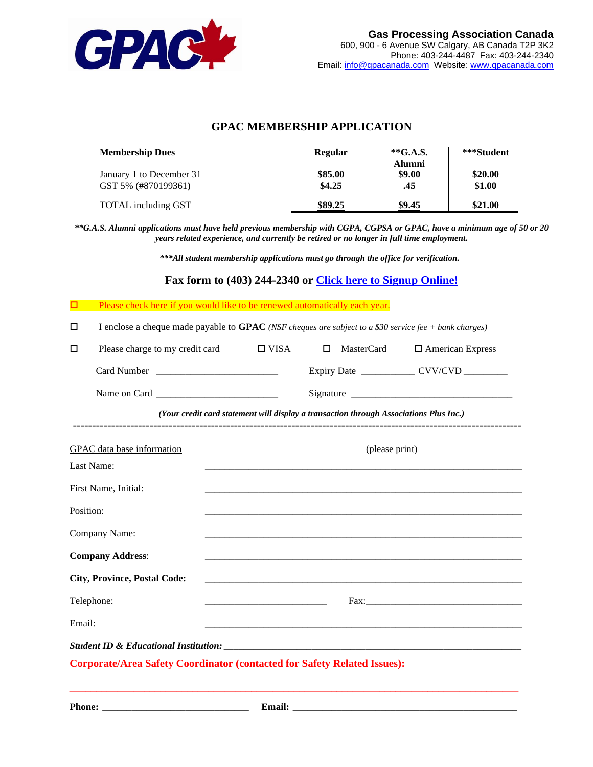

| <b>Membership Dues</b>                          | <b>Regular</b>    | $*G.A.S.$<br><b>Alumni</b> | ***Student        |
|-------------------------------------------------|-------------------|----------------------------|-------------------|
| January 1 to December 31<br>GST 5% (#870199361) | \$85.00<br>\$4.25 | \$9.00<br>.45              | \$20.00<br>\$1.00 |
| TOTAL including GST                             | <u>\$89.25</u>    | \$9.45                     | \$21.00           |

# **GPAC MEMBERSHIP APPLICATION**

*\*\*G.A.S. Alumni applications must have held previous membership with CGPA, CGPSA or GPAC, have a minimum age of 50 or 20 years related experience, and currently be retired or no longer in full time employment.*

*\*\*\*All student membership applications must go through the office for verification.*

## **Fax form to (403) 244-2340 or [Click here to Signup Online!](https://securegs.com/gpac/)**

| <b>Example 2</b> Please check here if you would like to be renewed automatically each year. |
|---------------------------------------------------------------------------------------------|
|---------------------------------------------------------------------------------------------|

I enclose a cheque made payable to **GPAC** *(NSF cheques are subject to a \$30 service fee + bank charges)*

| $\Box$<br>Please charge to my credit card                                       | $\Box$ VISA    | $\Box$ MasterCard                                                                      | $\Box$ American Express                        |  |
|---------------------------------------------------------------------------------|----------------|----------------------------------------------------------------------------------------|------------------------------------------------|--|
|                                                                                 |                |                                                                                        | Expiry Date ________________ CVV/CVD _________ |  |
|                                                                                 |                |                                                                                        |                                                |  |
|                                                                                 |                | (Your credit card statement will display a transaction through Associations Plus Inc.) |                                                |  |
| GPAC data base information                                                      | (please print) |                                                                                        |                                                |  |
| Last Name:                                                                      |                |                                                                                        |                                                |  |
| First Name, Initial:                                                            |                |                                                                                        |                                                |  |
| Position:                                                                       |                |                                                                                        |                                                |  |
| Company Name:                                                                   |                |                                                                                        |                                                |  |
| <b>Company Address:</b>                                                         |                |                                                                                        |                                                |  |
| <b>City, Province, Postal Code:</b>                                             |                |                                                                                        |                                                |  |
| Telephone:                                                                      |                |                                                                                        |                                                |  |
| Email:                                                                          |                |                                                                                        |                                                |  |
|                                                                                 |                |                                                                                        |                                                |  |
| <b>Corporate/Area Safety Coordinator (contacted for Safety Related Issues):</b> |                |                                                                                        |                                                |  |

**\_\_\_\_\_\_\_\_\_\_\_\_\_\_\_\_\_\_\_\_\_\_\_\_\_\_\_\_\_\_\_\_\_\_\_\_\_\_\_\_\_\_\_\_\_\_\_\_\_\_\_\_\_\_\_\_\_\_\_\_\_\_\_\_\_\_\_\_\_\_\_\_\_\_\_\_\_\_\_\_\_\_\_\_**